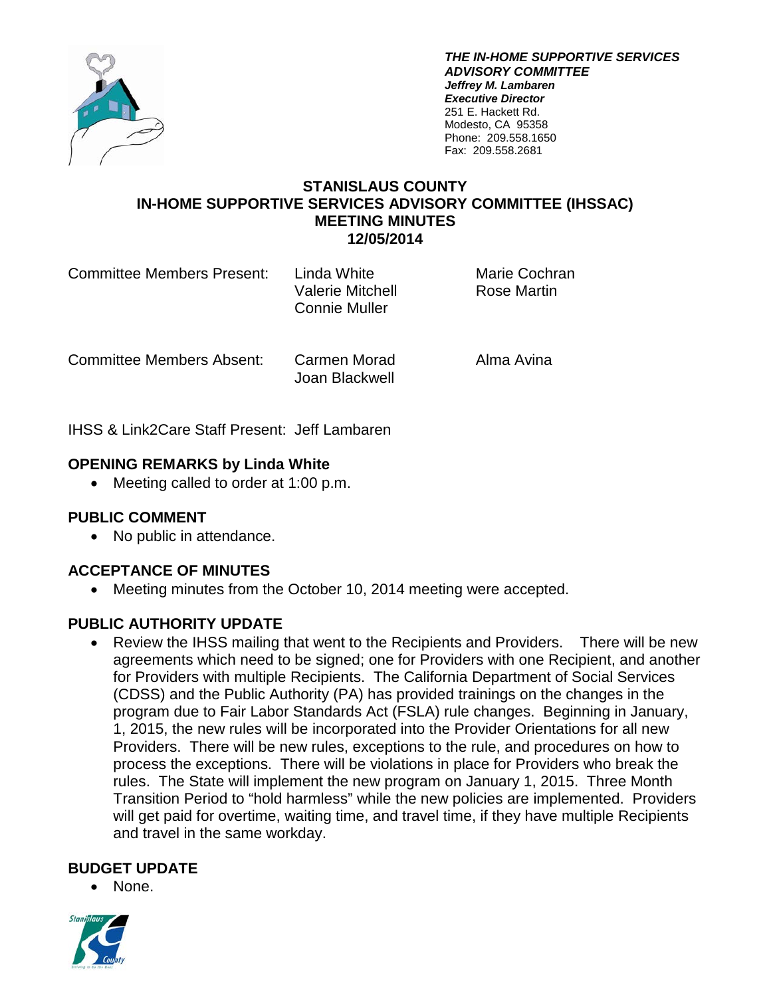

*THE IN-HOME SUPPORTIVE SERVICES ADVISORY COMMITTEE Jeffrey M. Lambaren Executive Director* 251 E. Hackett Rd. Modesto, CA 95358 Phone: 209.558.1650 Fax: 209.558.2681

### **STANISLAUS COUNTY IN-HOME SUPPORTIVE SERVICES ADVISORY COMMITTEE (IHSSAC) MEETING MINUTES 12/05/2014**

| <b>Committee Members Present:</b> | Linda White<br><b>Valerie Mitchell</b><br><b>Connie Muller</b> | <b>Marie Cochran</b><br>Rose Martin |
|-----------------------------------|----------------------------------------------------------------|-------------------------------------|
|                                   |                                                                |                                     |

Committee Members Absent: Carmen Morad Alma Avina

Joan Blackwell

IHSS & Link2Care Staff Present: Jeff Lambaren

## **OPENING REMARKS by Linda White**

• Meeting called to order at 1:00 p.m.

## **PUBLIC COMMENT**

• No public in attendance.

## **ACCEPTANCE OF MINUTES**

• Meeting minutes from the October 10, 2014 meeting were accepted.

## **PUBLIC AUTHORITY UPDATE**

• Review the IHSS mailing that went to the Recipients and Providers. There will be new agreements which need to be signed; one for Providers with one Recipient, and another for Providers with multiple Recipients. The California Department of Social Services (CDSS) and the Public Authority (PA) has provided trainings on the changes in the program due to Fair Labor Standards Act (FSLA) rule changes. Beginning in January, 1, 2015, the new rules will be incorporated into the Provider Orientations for all new Providers. There will be new rules, exceptions to the rule, and procedures on how to process the exceptions. There will be violations in place for Providers who break the rules. The State will implement the new program on January 1, 2015. Three Month Transition Period to "hold harmless" while the new policies are implemented. Providers will get paid for overtime, waiting time, and travel time, if they have multiple Recipients and travel in the same workday.

#### **BUDGET UPDATE**

• None.